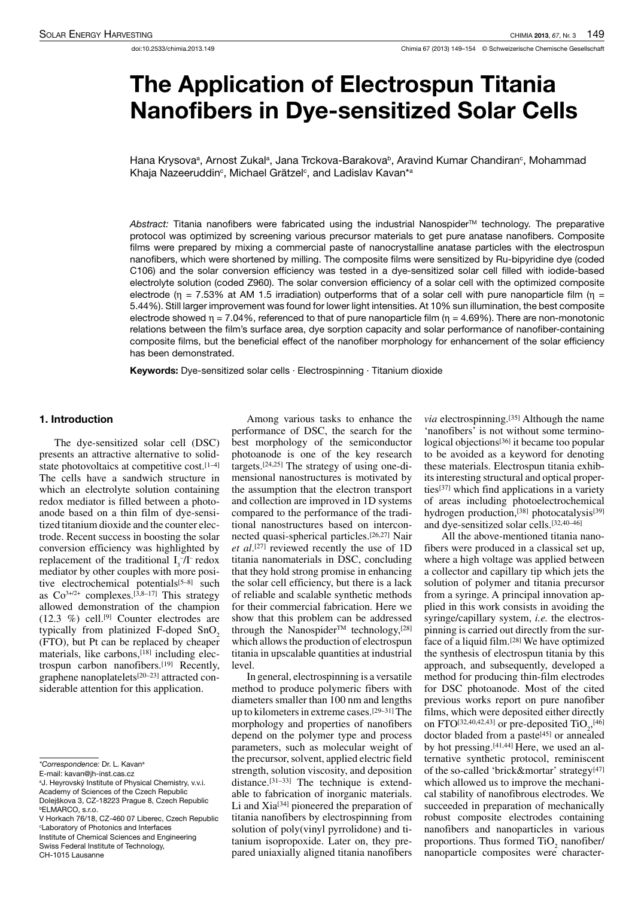# The Application of Electrospun Titania Nanofibers in Dye-sensitized Solar Cells

Hana Krysovaª, Arnost Zukalª, Jana Trckova-Barakovaʰ, Aravind Kumar Chandiran°, Mohammad Khaja Nazeeruddin<sup>c</sup>, Michael Grätzel<sup>c</sup>, and Ladislav Kavan\*ª

Abstract: Titania nanofibers were fabricated using the industrial Nanospider™ technology. The preparative protocol was optimized by screening various precursor materials to get pure anatase nanofibers. Composite films were prepared by mixing a commercial paste of nanocrystalline anatase particles with the electrospun nanofibers, which were shortened by milling. The composite films were sensitized by Ru-bipyridine dye (coded C106) and the solar conversion efficiency was tested in a dye-sensitized solar cell filled with iodide-based electrolyte solution (coded Z960). The solar conversion efficiency of a solar cell with the optimized composite electrode ( $\eta$  = 7.53% at AM 1.5 irradiation) outperforms that of a solar cell with pure nanoparticle film ( $\eta$  = 5.44%). Still larger improvement was found for lower light intensities. At 10% sun illumination, the best composite electrode showed  $\eta = 7.04\%$ , referenced to that of pure nanoparticle film ( $\eta = 4.69\%$ ). There are non-monotonic relations between the film's surface area, dye sorption capacity and solar performance of nanofiber-containing composite films, but the beneficial effect of the nanofiber morphology for enhancement of the solar efficiency has been demonstrated.

Keywords: Dye-sensitized solar cells · Electrospinning · Titanium dioxide

#### 1. Introduction

The dye-sensitized solar cell (DSC) presents an attractive alternative to solidstate photovoltaics at competitive cost. $[1-4]$ The cells have a sandwich structure in which an electrolyte solution containing redox mediator is filled between a photoanode based on a thin film of dye-sensitized titanium dioxide and the counter electrode. Recent success in boosting the solar conversion efficiency was highlighted by replacement of the traditional  $I_3$ -/I-redox mediator by other couples with more positive electrochemical potentials<sup>[5-8]</sup> such as  $Co<sup>3+/2+</sup> complexes.<sup>[3,8-17]</sup> This strategy$ allowed demonstration of the champion  $(12.3 \%)$  cell.<sup>[9]</sup> Counter electrodes are typically from platinized F-doped SnO<sub>2</sub> (FTO), but Pt can be replaced by cheaper materials, like carbons, [18] including electrospun carbon nanofibers.[19] Recently, graphene nanoplatelets[20–23] attracted considerable attention for this application.

Among various tasks to enhance the performance of DSC, the search for the best morphology of the semiconductor photoanode is one of the key research targets.[24,25] The strategy of using one-dimensional nanostructures is motivated by the assumption that the electron transport and collection are improved in 1D systems compared to the performance of the traditional nanostructures based on interconnected quasi-spherical particles.[26,27] Nair *et al*. [27] reviewed recently the use of 1D titania nanomaterials in DSC, concluding that they hold strong promise in enhancing the solar cell efficiency, but there is a lack of reliable and scalable synthetic methods for their commercial fabrication. Here we show that this problem can be addressed through the Nanospider<sup>TM</sup> technology,<sup>[28]</sup> which allows the production of electrospun titania in upscalable quantities at industrial level.

In general, electrospinning is a versatile method to produce polymeric fibers with diameters smaller than 100 nm and lengths up to kilometers in extreme cases.<sup>[29–31]</sup>The morphology and properties of nanofibers depend on the polymer type and process parameters, such as molecular weight of the precursor, solvent, applied electric field strength, solution viscosity, and deposition distance.<sup>[31-33]</sup> The technique is extendable to fabrication of inorganic materials. Li and Xia[34] pioneered the preparation of titania nanofibers by electrospinning from solution of poly(vinyl pyrrolidone) and titanium isopropoxide. Later on, they prepared uniaxially aligned titania nanofibers

*via* electrospinning.[35] Although the name 'nanofibers' is not without some terminological objections<sup>[36]</sup> it became too popular to be avoided as a keyword for denoting these materials. Electrospun titania exhibits interesting structural and optical properties[37] which find applications in a variety of areas including photoelectrochemical hydrogen production,<sup>[38]</sup> photocatalysis<sup>[39]</sup> and dye-sensitized solar cells.[32,40–46]

All the above-mentioned titania nanofibers were produced in a classical set up, where a high voltage was applied between a collector and capillary tip which jets the solution of polymer and titania precursor from a syringe. A principal innovation applied in this work consists in avoiding the syringe/capillary system, *i.e.* the electrospinning is carried out directly from the surface of a liquid film.[28] We have optimized the synthesis of electrospun titania by this approach, and subsequently, developed a method for producing thin-film electrodes for DSC photoanode. Most of the cited previous works report on pure nanofiber films, which were deposited either directly on FTO<sup>[32,40,42,43]</sup> or pre-deposited  $TiO<sub>2</sub>$ <sup>[46]</sup> doctor bladed from a paste<sup>[45]</sup> or annealed by hot pressing.[41,44] Here, we used an alternative synthetic protocol, reminiscent of the so-called 'brick&mortar' strategy[47] which allowed us to improve the mechanical stability of nanofibrous electrodes. We succeeded in preparation of mechanically robust composite electrodes containing nanofibers and nanoparticles in various proportions. Thus formed  $\text{TiO}_2$  nanofiber/ nanoparticle composites were character-

<sup>\*</sup>Correspondence: Dr. L. Kavan<sup>a</sup>

E-mail: kavan@jh-inst.cas.cz

aJ. Heyrovský Institute of Physical Chemistry, v.v.i. Academy of Sciences of the Czech Republic

Dolejškova 3, CZ-18223 Prague 8, Czech Republic <sup>b</sup>ELMARCO, s.r.o.

V Horkach 76/18, CZ-460 07 Liberec, Czech Republic <sup>c</sup>Laboratory of Photonics and Interfaces Institute of Chemical Sciences and Engineering Swiss Federal Institute of Technology, CH-1015 Lausanne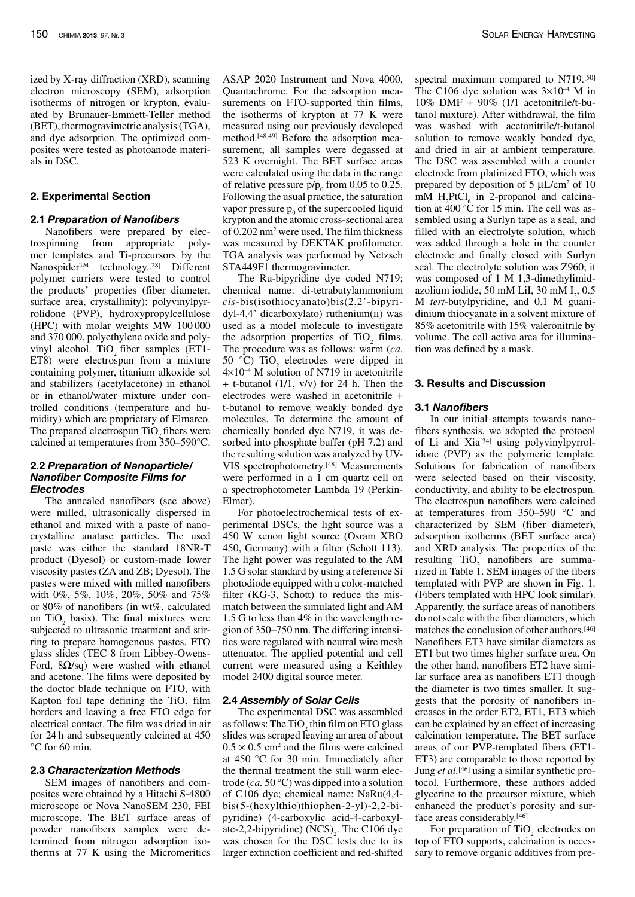ized by X-ray diffraction (XRD), scanning electron microscopy (SEM), adsorption isotherms of nitrogen or krypton, evaluated by Brunauer-Emmett-Teller method (BET), thermogravimetric analysis (TGA), and dye adsorption. The optimized composites were tested as photoanode materials in DSC.

## 2. Experimental Section

## 2.1 Preparation of Nanofibers

Nanofibers were prepared by electrospinning from appropriate polymer templates and Ti-precursors by the Nanospider<sup>TM</sup> technology.<sup>[28]</sup> Different polymer carriers were tested to control the products' properties (fiber diameter, surface area, crystallinity): polyvinylpyrrolidone (PVP), hydroxypropylcellulose (HPC) with molar weights MW 100 000 and 370 000, polyethylene oxide and polyvinyl alcohol. TiO<sub>2</sub> fiber samples (ET1- $\overline{ }$ ET8) were electrospun from a mixture containing polymer, titanium alkoxide sol and stabilizers (acetylacetone) in ethanol or in ethanol/water mixture under controlled conditions (temperature and humidity) which are proprietary of Elmarco. The prepared electrospun  $TiO<sub>2</sub>$  fibers were calcined at temperatures from 350–590°C.

#### 2.2 Preparation of Nanoparticle/ Nanofiber Composite Films for Electrodes

The annealed nanofibers (see above) were milled, ultrasonically dispersed in ethanol and mixed with a paste of nanocrystalline anatase particles. The used paste was either the standard 18NR-T product (Dyesol) or custom-made lower viscosity pastes (ZA and ZB; Dyesol). The pastes were mixed with milled nanofibers with 0%, 5%, 10%, 20%, 50% and 75% or 80% of nanofibers (in wt%, calculated on  $TiO<sub>2</sub>$  basis). The final mixtures were subjected to ultrasonic treatment and stirring to prepare homogenous pastes. FTO glass slides (TEC 8 from Libbey-Owens-Ford,  $8\Omega$ /sq) were washed with ethanol and acetone. The films were deposited by the doctor blade technique on FTO, with Kapton foil tape defining the  $TiO<sub>2</sub>$  film borders and leaving a free FTO edge for electrical contact. The film was dried in air for 24 h and subsequently calcined at 450 °C for 60 min.

## 2.3 Characterization Methods

SEM images of nanofibers and composites were obtained by a Hitachi S-4800 microscope or Nova NanoSEM 230, FEI microscope. The BET surface areas of powder nanofibers samples were determined from nitrogen adsorption isotherms at 77 K using the Micromeritics ASAP 2020 Instrument and Nova 4000, Quantachrome. For the adsorption measurements on FTO-supported thin films, the isotherms of krypton at 77 K were measured using our previously developed method.[48,49] Before the adsorption measurement, all samples were degassed at 523 K overnight. The BET surface areas were calculated using the data in the range of relative pressure  $p/p_0$  from 0.05 to 0.25. Following the usual practice, the saturation vapor pressure  $p_0$  of the supercooled liquid krypton and the atomic cross-sectional area of 0.202 nm<sup>2</sup> were used. The film thickness was measured by DEKTAK profilometer. TGA analysis was performed by Netzsch STA449F1 thermogravimeter.

The Ru-bipyridine dye coded N719; chemical name: di-tetrabutylammonium *cis*-bis(isothiocyanato)bis(2,2'-bipyridyl-4,4' dicarboxylato) ruthenium(ii) was used as a model molecule to investigate the adsorption properties of  $TiO<sub>2</sub>$  films. The procedure was as follows: warm (*ca*. 50 °C)  $\text{TiO}_2$  electrodes were dipped in  $4\times10^{-4}$  M solution of N719 in acetonitrile + t-butanol (1/1, v/v) for 24 h. Then the electrodes were washed in acetonitrile + t-butanol to remove weakly bonded dye molecules. To determine the amount of chemically bonded dye N719, it was desorbed into phosphate buffer (pH 7.2) and the resulting solution was analyzed by UV-VIS spectrophotometry.[48] Measurements were performed in a 1 cm quartz cell on a spectrophotometer Lambda 19 (Perkin-Elmer).

For photoelectrochemical tests of experimental DSCs, the light source was a 450 W xenon light source (Osram XBO 450, Germany) with a filter (Schott 113). The light power was regulated to the AM 1.5 G solar standard by using a reference Si photodiode equipped with a color-matched filter (KG-3, Schott) to reduce the mismatch between the simulated light and AM 1.5 G to less than 4% in the wavelength region of 350–750 nm. The differing intensities were regulated with neutral wire mesh attenuator. The applied potential and cell current were measured using a Keithley model 2400 digital source meter.

## 2.4 Assembly of Solar Cells

The experimental DSC was assembled as follows: The  $TiO_2$  thin film on FTO glass slides was scraped leaving an area of about  $0.5 \times 0.5$  cm<sup>2</sup> and the films were calcined at 450 °C for 30 min. Immediately after the thermal treatment the still warm electrode (*ca.* 50 °C) was dipped into a solution of C106 dye; chemical name: NaRu(4,4 bis(5-(hexylthio)thiophen-2-yl)-2,2-bipyridine) (4-carboxylic acid-4-carboxylate-2,2-bipyridine)  $(NCS)_{2}$ . The C106 dye was chosen for the DSC<sup>+</sup>tests due to its larger extinction coefficient and red-shifted spectral maximum compared to N719.[50] The C106 dye solution was  $3\times10^{-4}$  M in 10% DMF + 90% (1/1 acetonitrile/t-butanol mixture). After withdrawal, the film was washed with acetonitrile/t-butanol solution to remove weakly bonded dye, and dried in air at ambient temperature. The DSC was assembled with a counter electrode from platinized FTO, which was prepared by deposition of  $5 \mu L/cm^2$  of 10 mM  $H_2$ PtCl<sub>6</sub> in 2-propanol and calcination at  $400 \text{°C}$  for 15 min. The cell was assembled using a Surlyn tape as a seal, and filled with an electrolyte solution, which was added through a hole in the counter electrode and finally closed with Surlyn seal. The electrolyte solution was Z960; it was composed of 1 M 1,3-dimethylimidazolium iodide, 50 mM LiI, 30 mM  $I_2$ , 0.5 M *tert*-butylpyridine, and 0.1 M guanidinium thiocyanate in a solvent mixture of 85% acetonitrile with 15% valeronitrile by volume. The cell active area for illumination was defined by a mask.

## 3. Results and Discussion

## 3.1 Nanofibers

In our initial attempts towards nanofibers synthesis, we adopted the protocol of Li and Xia[34] using polyvinylpyrrolidone (PVP) as the polymeric template. Solutions for fabrication of nanofibers were selected based on their viscosity, conductivity, and ability to be electrospun. The electrospun nanofibers were calcined at temperatures from 350–590 °C and characterized by SEM (fiber diameter), adsorption isotherms (BET surface area) and XRD analysis. The properties of the resulting  $TiO<sub>2</sub>$  nanofibers are summarized in Table 1. SEM images of the fibers templated with PVP are shown in Fig. 1. (Fibers templated with HPC look similar). Apparently, the surface areas of nanofibers do not scale with the fiber diameters, which matches the conclusion of other authors.[46] Nanofibers ET3 have similar diameters as ET1 but two times higher surface area. On the other hand, nanofibers ET2 have similar surface area as nanofibers ET1 though the diameter is two times smaller. It suggests that the porosity of nanofibers increases in the order ET2, ET1, ET3 which can be explained by an effect of increasing calcination temperature. The BET surface areas of our PVP-templated fibers (ET1- ET3) are comparable to those reported by Jung *et al.*[46] using a similar synthetic protocol. Furthermore, these authors added glycerine to the precursor mixture, which enhanced the product's porosity and surface areas considerably.[46]

For preparation of  $TiO<sub>2</sub>$  electrodes on top of FTO supports, calcination is necessary to remove organic additives from pre-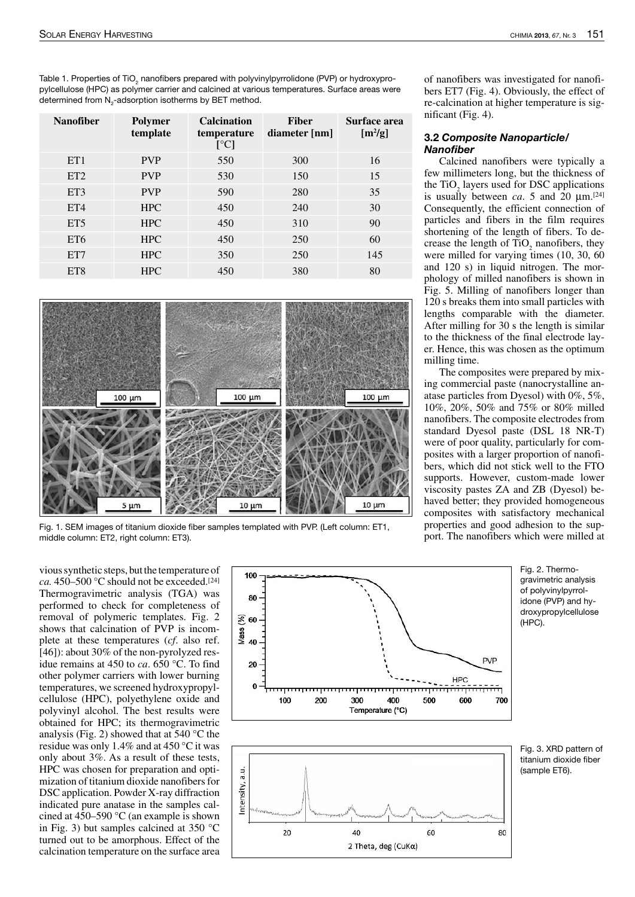Table 1. Properties of TiO<sub>2</sub> nanofibers prepared with polyvinylpyrrolidone (PVP) or hydroxypropylcellulose (HPC) as polymer carrier and calcined at various temperatures. Surface areas were determined from  $N_{2}$ -adsorption isotherms by BET method.

| <b>Nanofiber</b> | <b>Polymer</b><br>template | <b>Calcination</b><br>temperature<br>$\lceil{^{\circ}C}\rceil$ | <b>Fiber</b><br>diameter [nm] | Surface area<br>$[m^2/g]$ |
|------------------|----------------------------|----------------------------------------------------------------|-------------------------------|---------------------------|
| ET <sub>1</sub>  | <b>PVP</b>                 | 550                                                            | 300                           | 16                        |
| ET <sub>2</sub>  | <b>PVP</b>                 | 530                                                            | 150                           | 15                        |
| ET3              | <b>PVP</b>                 | 590                                                            | 280                           | 35                        |
| ET4              | <b>HPC</b>                 | 450                                                            | 240                           | 30                        |
| ET <sub>5</sub>  | <b>HPC</b>                 | 450                                                            | 310                           | 90                        |
| ET <sub>6</sub>  | <b>HPC</b>                 | 450                                                            | 250                           | 60                        |
| ET <sub>7</sub>  | <b>HPC</b>                 | 350                                                            | 250                           | 145                       |
| ET <sub>8</sub>  | <b>HPC</b>                 | 450                                                            | 380                           | 80                        |



Fig. 1. SEM images of titanium dioxide fiber samples templated with PVP. (Left column: ET1, middle column: ET2, right column: ET3).

vious synthetic steps, but the temperature of *ca.* 450–500 °C should not be exceeded.[24] Thermogravimetric analysis (TGA) was performed to check for completeness of removal of polymeric templates. Fig. 2 shows that calcination of PVP is incomplete at these temperatures (*cf*. also ref. [46]): about 30% of the non-pyrolyzed residue remains at 450 to *ca*. 650 °C. To find other polymer carriers with lower burning temperatures, we screened hydroxypropylcellulose (HPC), polyethylene oxide and polyvinyl alcohol. The best results were obtained for HPC; its thermogravimetric analysis (Fig. 2) showed that at 540 °C the residue was only 1.4% and at 450 °C it was only about 3%. As a result of these tests, HPC was chosen for preparation and optimization of titanium dioxide nanofibers for DSC application. Powder X-ray diffraction indicated pure anatase in the samples calcined at 450–590 °C (an example is shown in Fig. 3) but samples calcined at 350 °C turned out to be amorphous. Effect of the calcination temperature on the surface area



of nanofibers was investigated for nanofibers ET7 (Fig. 4). Obviously, the effect of re-calcination at higher temperature is significant (Fig. 4).

#### 3.2 Composite Nanoparticle/ Nanofiber

Calcined nanofibers were typically a few millimeters long, but the thickness of the TiO<sub>2</sub> layers used for DSC applications is usually between *ca*. 5 and 20  $\mu$ m.<sup>[24]</sup> Consequently, the efficient connection of particles and fibers in the film requires shortening of the length of fibers. To decrease the length of  $TiO<sub>2</sub>$  nanofibers, they were milled for varying times (10, 30, 60 and 120 s) in liquid nitrogen. The morphology of milled nanofibers is shown in Fig. 5. Milling of nanofibers longer than 120 s breaks them into small particles with lengths comparable with the diameter. After milling for 30 s the length is similar to the thickness of the final electrode layer. Hence, this was chosen as the optimum milling time.

The composites were prepared by mixing commercial paste (nanocrystalline anatase particles from Dyesol) with 0%, 5%, 10%, 20%, 50% and 75% or 80% milled nanofibers. The composite electrodes from standard Dyesol paste (DSL 18 NR-T) were of poor quality, particularly for composites with a larger proportion of nanofibers, which did not stick well to the FTO supports. However, custom-made lower viscosity pastes ZA and ZB (Dyesol) behaved better; they provided homogeneous composites with satisfactory mechanical properties and good adhesion to the support. The nanofibers which were milled at

> Fig. 2. Thermogravimetric analysis of polyvinylpyrrolidone (PVP) and hydroxypropylcellulose (HPC).

Fig. 3. XRD pattern of titanium dioxide fiber (sample ET6).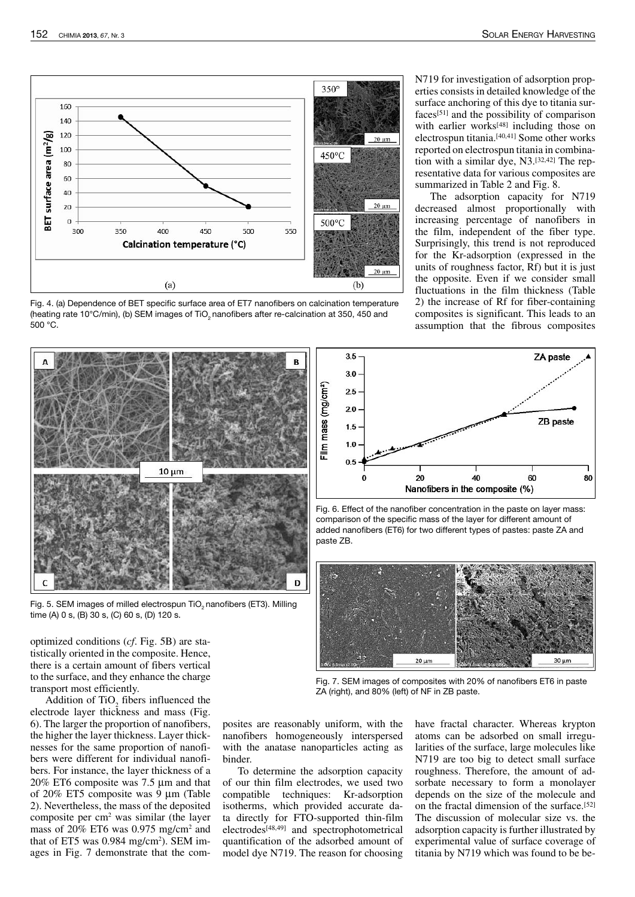

Fig. 4. (a) Dependence of BET specific surface area of ET7 nanofibers on calcination temperature (heating rate 10°C/min), (b) SEM images of TiO<sub>2</sub> nanofibers after re-calcination at 350, 450 and 500 °C.



Fig. 5. SEM images of milled electrospun TiO<sub>2</sub> nanofibers (ET3). Milling time (A) 0 s, (B) 30 s, (C) 60 s, (D) 120 s.

optimized conditions (*cf*. Fig. 5B) are statistically oriented in the composite. Hence, there is a certain amount of fibers vertical to the surface, and they enhance the charge transport most efficiently.

Addition of  $TiO<sub>2</sub>$  fibers influenced the electrode layer thickness and mass (Fig. 6). The larger the proportion of nanofibers, the higher the layer thickness. Layer thicknesses for the same proportion of nanofibers were different for individual nanofibers. For instance, the layer thickness of a 20% ET6 composite was 7.5 µm and that of 20% ET5 composite was 9 µm (Table 2). Nevertheless, the mass of the deposited composite per cm<sup>2</sup> was similar (the layer mass of 20% ET6 was 0.975 mg/cm<sup>2</sup> and that of ET5 was 0.984 mg/cm<sup>2</sup>). SEM images in Fig. 7 demonstrate that the com-

To determine the adsorption capacity of our thin film electrodes, we used two compatible techniques: Kr-adsorption isotherms, which provided accurate data directly for FTO-supported thin-film electrodes<sup>[48,49]</sup> and spectrophotometrical

quantification of the adsorbed amount of model dye N719. The reason for choosing

binder.

posites are reasonably uniform, with the nanofibers homogeneously interspersed with the anatase nanoparticles acting as have fractal character. Whereas krypton atoms can be adsorbed on small irregularities of the surface, large molecules like N719 are too big to detect small surface roughness. Therefore, the amount of adsorbate necessary to form a monolayer depends on the size of the molecule and on the fractal dimension of the surface.[52] The discussion of molecular size vs. the adsorption capacity is further illustrated by experimental value of surface coverage of titania by N719 which was found to be be-

 $3.5$ ZA paste 30 "Ilm mass (mg/cm")  $2.5$  $20$ ZB paste  $1.5$  $1.0$  $0<sup>t</sup>$ 20 40 60 80 Nanofibers in the composite (%)

Fig. 6. Effect of the nanofiber concentration in the paste on layer mass: comparison of the specific mass of the layer for different amount of added nanofibers (ET6) for two different types of pastes: paste ZA and paste ZB.



Fig. 7. SEM images of composites with 20% of nanofibers ET6 in paste ZA (right), and 80% (left) of NF in ZB paste.

tion with a similar dye, N3.[32,42] The representative data for various composites are summarized in Table 2 and Fig. 8. The adsorption capacity for N719 decreased almost proportionally with increasing percentage of nanofibers in the film, independent of the fiber type. Surprisingly, this trend is not reproduced for the Kr-adsorption (expressed in the units of roughness factor, Rf) but it is just

N719 for investigation of adsorption properties consists in detailed knowledge of the surface anchoring of this dye to titania surfaces[51] and the possibility of comparison with earlier works<sup>[48]</sup> including those on electrospun titania.[40,41] Some other works reported on electrospun titania in combina-

the opposite. Even if we consider small fluctuations in the film thickness (Table 2) the increase of Rf for fiber-containing composites is significant. This leads to an

assumption that the fibrous composites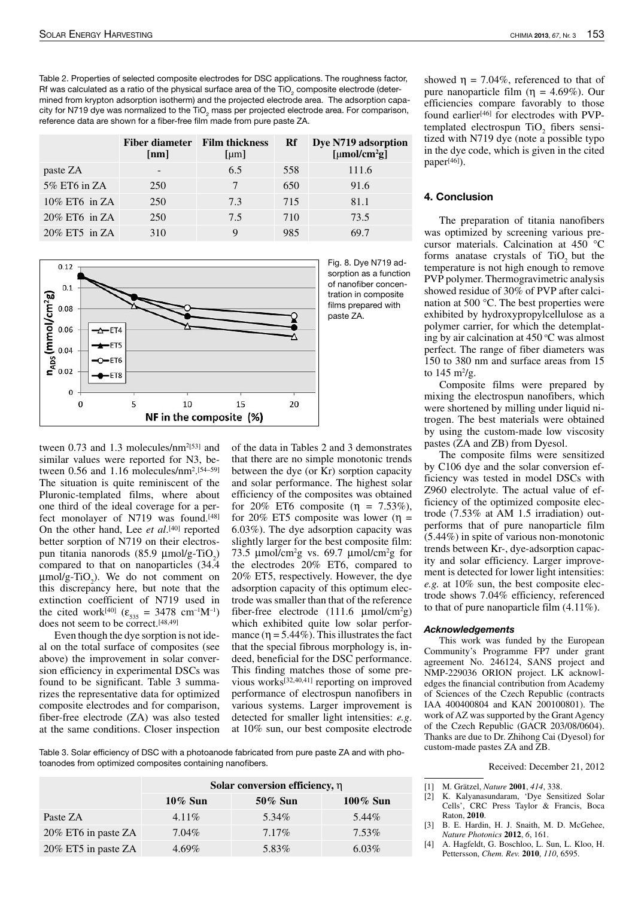Table 2. Properties of selected composite electrodes for DSC applications. The roughness factor, Rf was calculated as a ratio of the physical surface area of the TiO $_2$  composite electrode (determined from krypton adsorption isotherm) and the projected electrode area. The adsorption capacity for N719 dye was normalized to the TiO<sub>2</sub> mass per projected electrode area. For comparison, reference data are shown for a fiber-free film made from pure paste ZA.

|                  | Fiber diameter Film thickness<br>$\lceil nm \rceil$ | [µm] | Rf  | Dye N719 adsorption<br>[µmol/cm <sup>2</sup> g] |
|------------------|-----------------------------------------------------|------|-----|-------------------------------------------------|
| paste ZA         | -                                                   | 6.5  | 558 | 111.6                                           |
| 5% ET6 in ZA     | 250                                                 |      | 650 | 91.6                                            |
| $10\%$ ET6 in ZA | 250                                                 | 7.3  | 715 | 81.1                                            |
| $20\%$ ET6 in ZA | 250                                                 | 7.5  | 710 | 73.5                                            |
| $20\%$ ET5 in ZA | 310                                                 |      | 985 | 69 7                                            |



Fig. 8. Dye N719 adsorption as a function of nanofiber concentration in composite films prepared with paste ZA.

tween  $0.73$  and  $1.3$  molecules/nm<sup>2[53]</sup> and similar values were reported for N3, between  $0.56$  and  $1.16$  molecules/nm<sup>2</sup>.<sup>[54–59]</sup> The situation is quite reminiscent of the Pluronic-templated films, where about one third of the ideal coverage for a perfect monolayer of N719 was found.[48] On the other hand, Lee *et al*. [40] reported better sorption of N719 on their electrospun titania nanorods (85.9  $\mu$ mol/g-TiO<sub>2</sub>) compared to that on nanoparticles (34.4  $\mu$ mol/g-TiO<sub>2</sub>). We do not comment on this discrepancy here, but note that the extinction coefficient of N719 used in the cited work<sup>[40]</sup>  $(\varepsilon_{535} = 3478 \text{ cm}^{-1} \text{M}^{-1})$ does not seem to be correct.[48,49]

Even though the dye sorption is not ideal on the total surface of composites (see above) the improvement in solar conversion efficiency in experimental DSCs was found to be significant. Table 3 summarizes the representative data for optimized composite electrodes and for comparison, fiber-free electrode (ZA) was also tested at the same conditions. Closer inspection of the data in Tables 2 and 3 demonstrates that there are no simple monotonic trends between the dye (or Kr) sorption capacity and solar performance. The highest solar efficiency of the composites was obtained for 20% ET6 composite  $(\eta = 7.53\%),$ for 20% ET5 composite was lower ( $\eta$  = 6.03%). The dye adsorption capacity was slightly larger for the best composite film: 73.5  $\mu$ mol/cm<sup>2</sup>g vs. 69.7  $\mu$ mol/cm<sup>2</sup>g for the electrodes 20% ET6, compared to 20% ET5, respectively. However, the dye adsorption capacity of this optimum electrode was smaller than that of the reference fiber-free electrode  $(111.6 \mu \text{mol/cm}^2 \text{g})$ which exhibited quite low solar performance  $(\eta = 5.44\%)$ . This illustrates the fact that the special fibrous morphology is, indeed, beneficial for the DSC performance. This finding matches those of some previous works[32,40,41] reporting on improved performance of electrospun nanofibers in various systems. Larger improvement is detected for smaller light intensities: *e.g*. at 10% sun, our best composite electrode

Table 3. Solar efficiency of DSC with a photoanode fabricated from pure paste ZA and with photoanodes from optimized composites containing nanofibers.

|                     | Solar conversion efficiency, $\eta$ |         |             |  |  |
|---------------------|-------------------------------------|---------|-------------|--|--|
|                     | $10\%$ Sun                          | 50% Sun | $100\%$ Sun |  |  |
| Paste ZA            | $4.11\%$                            | 5.34%   | 5.44%       |  |  |
| 20% ET6 in paste ZA | 7.04%                               | 7.17%   | 7.53%       |  |  |
| 20% ET5 in paste ZA | $4.69\%$                            | 5.83%   | $6.03\%$    |  |  |

showed  $\eta = 7.04\%$ , referenced to that of pure nanoparticle film (η = 4.69%). Our efficiencies compare favorably to those found earlier<sup>[46]</sup> for electrodes with PVPtemplated electrospun  $TiO<sub>2</sub>$  fibers sensitized with N719 dye (note a possible typo in the dye code, which is given in the cited paper[46]).

#### 4. Conclusion

The preparation of titania nanofibers was optimized by screening various precursor materials. Calcination at 450 °C forms anatase crystals of  $TiO<sub>2</sub>$  but the temperature is not high enough to remove PVP polymer. Thermogravimetric analysis showed residue of 30% of PVP after calcination at 500 °C. The best properties were exhibited by hydroxypropylcellulose as a polymer carrier, for which the detemplating by air calcination at  $450^{\circ}$ C was almost perfect. The range of fiber diameters was 150 to 380 nm and surface areas from 15 to  $145 \text{ m}^2/\text{g}$ .

Composite films were prepared by mixing the electrospun nanofibers, which were shortened by milling under liquid nitrogen. The best materials were obtained by using the custom-made low viscosity pastes (ZA and ZB) from Dyesol.

The composite films were sensitized by C106 dye and the solar conversion efficiency was tested in model DSCs with Z960 electrolyte. The actual value of efficiency of the optimized composite electrode (7.53% at AM 1.5 irradiation) outperforms that of pure nanoparticle film (5.44%) in spite of various non-monotonic trends between Kr-, dye-adsorption capacity and solar efficiency. Larger improvement is detected for lower light intensities: *e.g.* at 10% sun, the best composite electrode shows 7.04% efficiency, referenced to that of pure nanoparticle film (4.11%).

#### Acknowledgements

This work was funded by the European Community's Programme FP7 under grant agreement No. 246124, SANS project and NMP-229036 ORION project. LK acknowledges the financial contribution from Academy of Sciences of the Czech Republic (contracts IAA 400400804 and KAN 200100801). The work of AZ was supported by the Grant Agency of the Czech Republic (GACR 203/08/0604). Thanks are due to Dr. Zhihong Cai (Dyesol) for custom-made pastes ZA and ZB.

Received: December 21, 2012

- [1] M. Grätzel, *Nature* **2001**, *414*, 338.
- [2] K. Kalyanasundaram, 'Dye Sensitized Solar Cells', CRC Press Taylor & Francis, Boca Raton, **2010**.
- [3] B. E. Hardin, H. J. Snaith, M. D. McGehee, *Nature Photonics* **2012**, *6*, 161.
- [4] A. Hagfeldt, G. Boschloo, L. Sun, L. Kloo, H. Pettersson, *Chem. Rev.* **2010**, *110*, 6595.